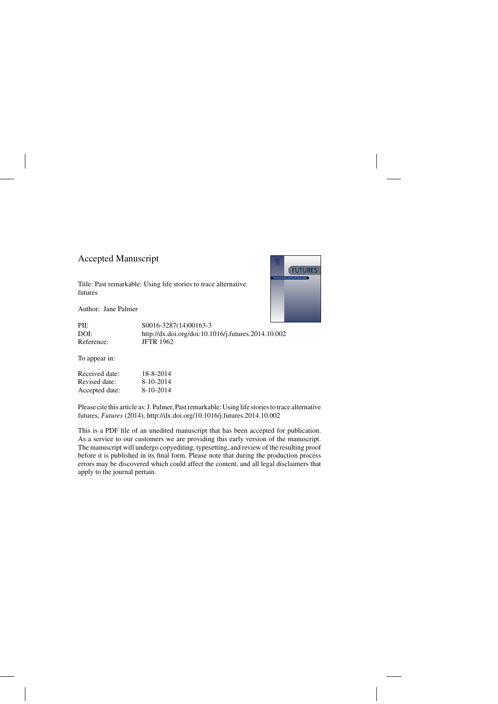### Accepted Manuscript

Title: Past remarkable: Using life stories to trace alternative futures

Author: Jane Palmer



PII: S0016-3287(14)00163-3 DOI:<http://dx.doi.org/doi:10.1016/j.futures.2014.10.002> Reference: JFTR 1962

To appear in:

Received date: 18-8-2014 Revised date: 8-10-2014 Accepted date: 8-10-2014

Please cite this article as: J. Palmer, Past remarkable: Using life stories to trace alternative futures, *Futures* (2014),<http://dx.doi.org/10.1016/j.futures.2014.10.002>

This is a PDF file of an unedited manuscript that has been accepted for publication. As a service to our customers we are providing this early version of the manuscript. The manuscript will undergo copyediting, typesetting, and review of the resulting proof before it is published in its final form. Please note that during the production process errors may be discovered which could affect the content, and all legal disclaimers that apply to the journal pertain.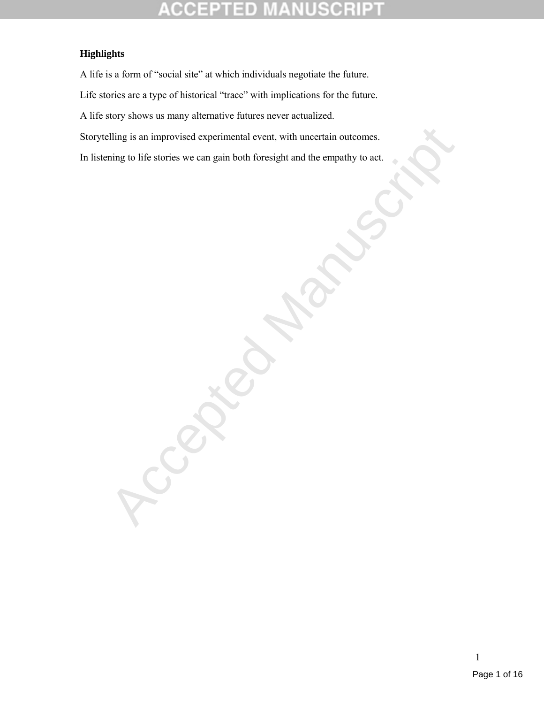# D

### **Highlights**

A life is a form of "social site" at which individuals negotiate the future.

Life stories are a type of historical "trace" with implications for the future.

A life story shows us many alternative futures never actualized.

Storytelling is an improvised experimental event, with uncertain outcomes.

eling is an improvised experimental event, with uncertain outcomes. In listening to life stories we can gain both foresight and the empathy to act.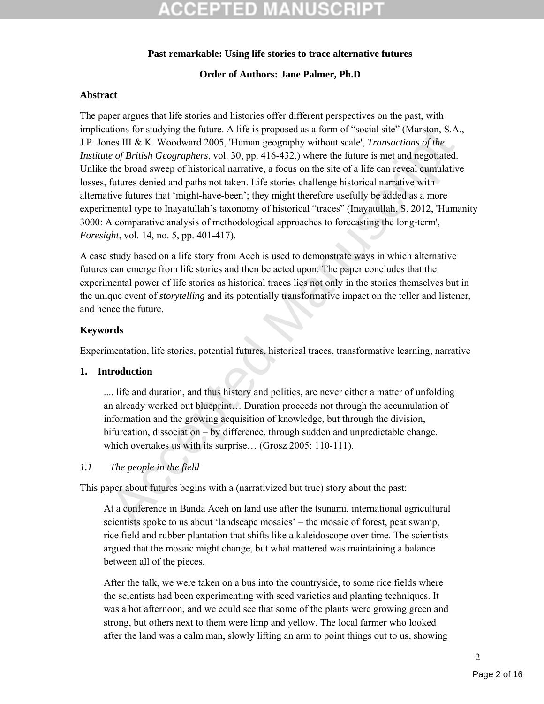# COEPTED

#### **Past remarkable: Using life stories to trace alternative futures**

#### **Order of Authors: Jane Palmer, Ph.D**

#### **Abstract**

ations for studying the future. A life is proposed as a form of "social site" (Marston, S.A.<br>
see of Britis K. Woodward 2005, 'Human geography without scale', Transactions of the<br>
te of British Geographers, vol. 30, pp. 4 The paper argues that life stories and histories offer different perspectives on the past, with implications for studying the future. A life is proposed as a form of "social site" (Marston, S.A., J.P. Jones III & K. Woodward 2005, 'Human geography without scale', *Transactions of the Institute of British Geographers*, vol. 30, pp. 416-432.) where the future is met and negotiated. Unlike the broad sweep of historical narrative, a focus on the site of a life can reveal cumulative losses, futures denied and paths not taken. Life stories challenge historical narrative with alternative futures that 'might-have-been'; they might therefore usefully be added as a more experimental type to Inayatullah's taxonomy of historical "traces" (Inayatullah, S. 2012, 'Humanity 3000: A comparative analysis of methodological approaches to forecasting the long-term', *Foresight*, vol. 14, no. 5, pp. 401-417).

A case study based on a life story from Aceh is used to demonstrate ways in which alternative futures can emerge from life stories and then be acted upon. The paper concludes that the experimental power of life stories as historical traces lies not only in the stories themselves but in the unique event of *storytelling* and its potentially transformative impact on the teller and listener, and hence the future.

#### **Keywords**

Experimentation, life stories, potential futures, historical traces, transformative learning, narrative

#### **1. Introduction**

.... life and duration, and thus history and politics, are never either a matter of unfolding an already worked out blueprint… Duration proceeds not through the accumulation of information and the growing acquisition of knowledge, but through the division, bifurcation, dissociation – by difference, through sudden and unpredictable change, which overtakes us with its surprise… (Grosz 2005: 110-111).

#### *1.1 The people in the field*

This paper about futures begins with a (narrativized but true) story about the past:

At a conference in Banda Aceh on land use after the tsunami, international agricultural scientists spoke to us about 'landscape mosaics' – the mosaic of forest, peat swamp, rice field and rubber plantation that shifts like a kaleidoscope over time. The scientists argued that the mosaic might change, but what mattered was maintaining a balance between all of the pieces.

After the talk, we were taken on a bus into the countryside, to some rice fields where the scientists had been experimenting with seed varieties and planting techniques. It was a hot afternoon, and we could see that some of the plants were growing green and strong, but others next to them were limp and yellow. The local farmer who looked after the land was a calm man, slowly lifting an arm to point things out to us, showing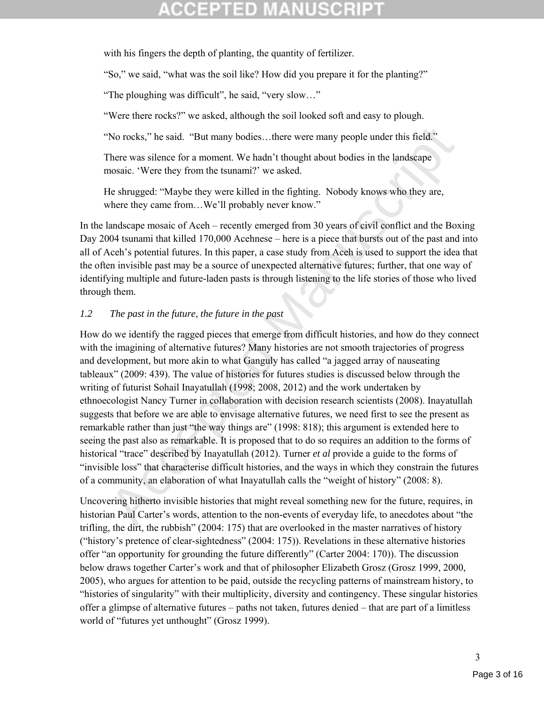# COEPTED

with his fingers the depth of planting, the quantity of fertilizer.

"So," we said, "what was the soil like? How did you prepare it for the planting?"

"The ploughing was difficult", he said, "very slow…"

"Were there rocks?" we asked, although the soil looked soft and easy to plough.

"No rocks," he said. "But many bodies…there were many people under this field."

There was silence for a moment. We hadn't thought about bodies in the landscape mosaic. 'Were they from the tsunami?' we asked.

He shrugged: "Maybe they were killed in the fighting. Nobody knows who they are, where they came from…We'll probably never know."

In the landscape mosaic of Aceh – recently emerged from 30 years of civil conflict and the Boxing Day 2004 tsunami that killed 170,000 Acehnese – here is a piece that bursts out of the past and into all of Aceh's potential futures. In this paper, a case study from Aceh is used to support the idea that the often invisible past may be a source of unexpected alternative futures; further, that one way of identifying multiple and future-laden pasts is through listening to the life stories of those who lived through them.

### *1.2 The past in the future, the future in the past*

No rocks," he said. "But many bodies...there were many people under this field."<br>There was silence for a moment. We hadn't thought about bodies in the landscape<br>onsaic. "Were they from the tsunami?" we asked.<br>Here was sil How do we identify the ragged pieces that emerge from difficult histories, and how do they connect with the imagining of alternative futures? Many histories are not smooth trajectories of progress and development, but more akin to what Ganguly has called "a jagged array of nauseating tableaux" (2009: 439). The value of histories for futures studies is discussed below through the writing of futurist Sohail Inayatullah (1998; 2008, 2012) and the work undertaken by ethnoecologist Nancy Turner in collaboration with decision research scientists (2008). Inayatullah suggests that before we are able to envisage alternative futures, we need first to see the present as remarkable rather than just "the way things are" (1998: 818); this argument is extended here to seeing the past also as remarkable. It is proposed that to do so requires an addition to the forms of historical "trace" described by Inayatullah (2012). Turner *et al* provide a guide to the forms of "invisible loss" that characterise difficult histories, and the ways in which they constrain the futures of a community, an elaboration of what Inayatullah calls the "weight of history" (2008: 8).

Uncovering hitherto invisible histories that might reveal something new for the future, requires, in historian Paul Carter's words, attention to the non-events of everyday life, to anecdotes about "the trifling, the dirt, the rubbish" (2004: 175) that are overlooked in the master narratives of history ("history's pretence of clear-sightedness" (2004: 175)). Revelations in these alternative histories offer "an opportunity for grounding the future differently" (Carter 2004: 170)). The discussion below draws together Carter's work and that of philosopher Elizabeth Grosz (Grosz 1999, 2000, 2005), who argues for attention to be paid, outside the recycling patterns of mainstream history, to "histories of singularity" with their multiplicity, diversity and contingency. These singular histories offer a glimpse of alternative futures – paths not taken, futures denied – that are part of a limitless world of "futures yet unthought" (Grosz 1999).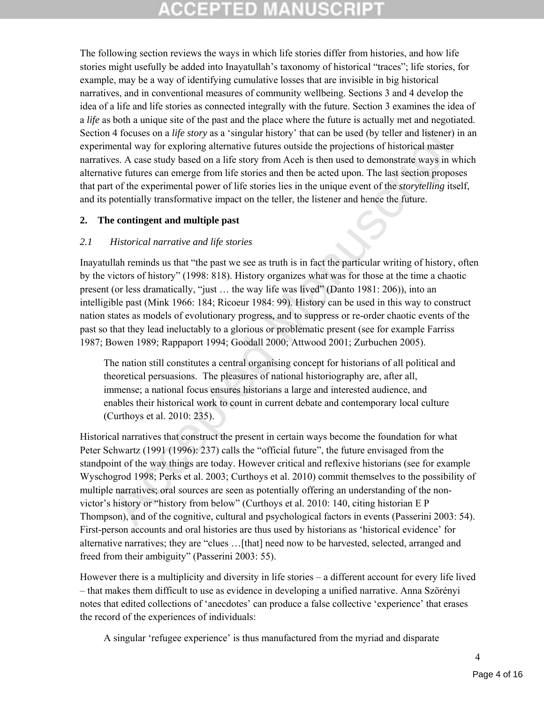The following section reviews the ways in which life stories differ from histories, and how life stories might usefully be added into Inayatullah's taxonomy of historical "traces"; life stories, for example, may be a way of identifying cumulative losses that are invisible in big historical narratives, and in conventional measures of community wellbeing. Sections 3 and 4 develop the idea of a life and life stories as connected integrally with the future. Section 3 examines the idea of a *life* as both a unique site of the past and the place where the future is actually met and negotiated. Section 4 focuses on a *life story* as a 'singular history' that can be used (by teller and listener) in an experimental way for exploring alternative futures outside the projections of historical master narratives. A case study based on a life story from Aceh is then used to demonstrate ways in which alternative futures can emerge from life stories and then be acted upon. The last section proposes that part of the experimental power of life stories lies in the unique event of the *storytelling* itself, and its potentially transformative impact on the teller, the listener and hence the future.

#### **2. The contingent and multiple past**

#### *2.1 Historical narrative and life stories*

Inayatullah reminds us that "the past we see as truth is in fact the particular writing of history, often by the victors of history" (1998: 818). History organizes what was for those at the time a chaotic present (or less dramatically, "just … the way life was lived" (Danto 1981: 206)), into an intelligible past (Mink 1966: 184; Ricoeur 1984: 99). History can be used in this way to construct nation states as models of evolutionary progress, and to suppress or re-order chaotic events of the past so that they lead ineluctably to a glorious or problematic present (see for example Farriss 1987; Bowen 1989; Rappaport 1994; Goodall 2000; Attwood 2001; Zurbuchen 2005).

The nation still constitutes a central organising concept for historians of all political and theoretical persuasions. The pleasures of national historiography are, after all, immense; a national focus ensures historians a large and interested audience, and enables their historical work to count in current debate and contemporary local culture (Curthoys et al. 2010: 235).

14 focuses on a *life story* as a 'singular history' that can be used (by teller and listener) in<br>smealul way for exploring alternative futures outisfe the projections of historical master<br>consess. A case study based on a Historical narratives that construct the present in certain ways become the foundation for what Peter Schwartz (1991 (1996): 237) calls the "official future", the future envisaged from the standpoint of the way things are today. However critical and reflexive historians (see for example Wyschogrod 1998; Perks et al. 2003; Curthoys et al. 2010) commit themselves to the possibility of multiple narratives; oral sources are seen as potentially offering an understanding of the nonvictor's history or "history from below" (Curthoys et al. 2010: 140, citing historian E P Thompson), and of the cognitive, cultural and psychological factors in events (Passerini 2003: 54). First-person accounts and oral histories are thus used by historians as 'historical evidence' for alternative narratives; they are "clues …[that] need now to be harvested, selected, arranged and freed from their ambiguity" (Passerini 2003: 55).

However there is a multiplicity and diversity in life stories – a different account for every life lived – that makes them difficult to use as evidence in developing a unified narrative. Anna Szörényi notes that edited collections of 'anecdotes' can produce a false collective 'experience' that erases the record of the experiences of individuals:

A singular 'refugee experience' is thus manufactured from the myriad and disparate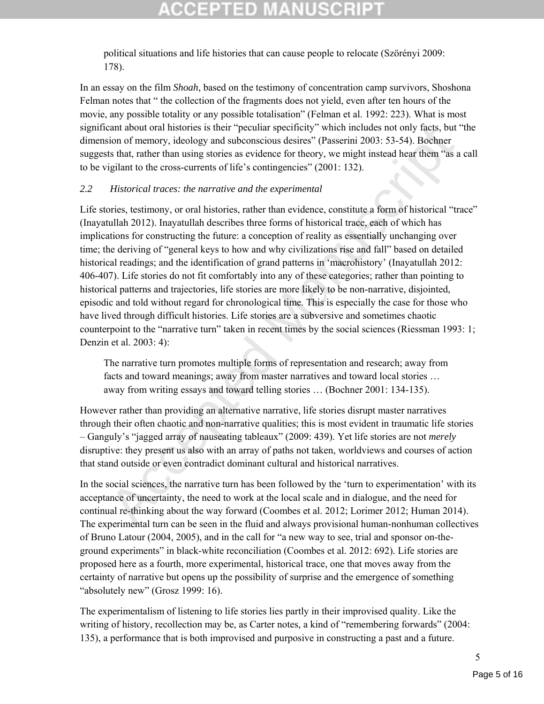political situations and life histories that can cause people to relocate (Szörényi 2009: 178).

In an essay on the film *Shoah*, based on the testimony of concentration camp survivors, Shoshona Felman notes that " the collection of the fragments does not yield, even after ten hours of the movie, any possible totality or any possible totalisation" (Felman et al. 1992: 223). What is most significant about oral histories is their "peculiar specificity" which includes not only facts, but "the dimension of memory, ideology and subconscious desires" (Passerini 2003: 53-54). Bochner suggests that, rather than using stories as evidence for theory, we might instead hear them "as a call to be vigilant to the cross-currents of life's contingencies" (2001: 132).

### *2.2 Historical traces: the narrative and the experimental*

and about oral histories is then "peculiar spectivity" which includes not only facts, but<br>and about oral histories is there increased to the the systemial and above and the systemial and the more of the more of the systemi Life stories, testimony, or oral histories, rather than evidence, constitute a form of historical "trace" (Inayatullah 2012). Inayatullah describes three forms of historical trace, each of which has implications for constructing the future: a conception of reality as essentially unchanging over time; the deriving of "general keys to how and why civilizations rise and fall" based on detailed historical readings; and the identification of grand patterns in 'macrohistory' (Inayatullah 2012: 406-407). Life stories do not fit comfortably into any of these categories; rather than pointing to historical patterns and trajectories, life stories are more likely to be non-narrative, disjointed, episodic and told without regard for chronological time. This is especially the case for those who have lived through difficult histories. Life stories are a subversive and sometimes chaotic counterpoint to the "narrative turn" taken in recent times by the social sciences (Riessman 1993: 1; Denzin et al. 2003: 4):

The narrative turn promotes multiple forms of representation and research; away from facts and toward meanings; away from master narratives and toward local stories … away from writing essays and toward telling stories … (Bochner 2001: 134-135).

However rather than providing an alternative narrative, life stories disrupt master narratives through their often chaotic and non-narrative qualities; this is most evident in traumatic life stories – Ganguly's "jagged array of nauseating tableaux" (2009: 439). Yet life stories are not *merely* disruptive: they present us also with an array of paths not taken, worldviews and courses of action that stand outside or even contradict dominant cultural and historical narratives.

In the social sciences, the narrative turn has been followed by the 'turn to experimentation' with its acceptance of uncertainty, the need to work at the local scale and in dialogue, and the need for continual re-thinking about the way forward (Coombes et al. 2012; Lorimer 2012; Human 2014). The experimental turn can be seen in the fluid and always provisional human-nonhuman collectives of Bruno Latour (2004, 2005), and in the call for "a new way to see, trial and sponsor on-theground experiments" in black-white reconciliation (Coombes et al. 2012: 692). Life stories are proposed here as a fourth, more experimental, historical trace, one that moves away from the certainty of narrative but opens up the possibility of surprise and the emergence of something "absolutely new" (Grosz 1999: 16).

The experimentalism of listening to life stories lies partly in their improvised quality. Like the writing of history, recollection may be, as Carter notes, a kind of "remembering forwards" (2004: 135), a performance that is both improvised and purposive in constructing a past and a future.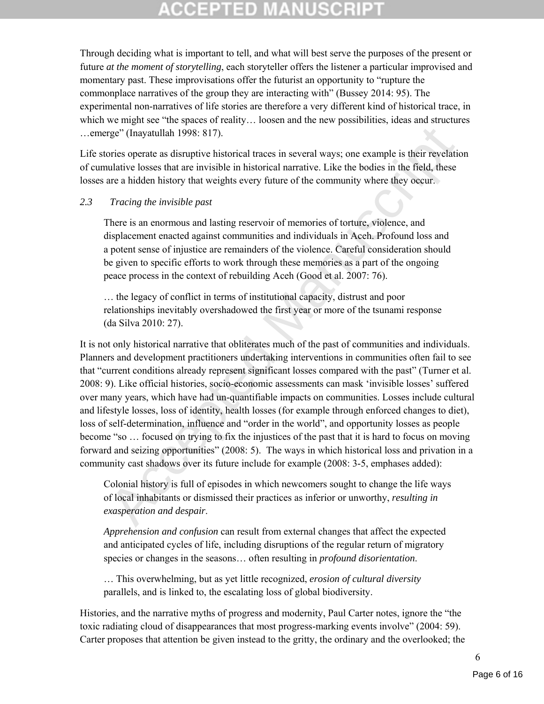Through deciding what is important to tell, and what will best serve the purposes of the present or future *at the moment of storytelling*, each storyteller offers the listener a particular improvised and momentary past. These improvisations offer the futurist an opportunity to "rupture the commonplace narratives of the group they are interacting with" (Bussey 2014: 95). The experimental non-narratives of life stories are therefore a very different kind of historical trace, in which we might see "the spaces of reality… loosen and the new possibilities, ideas and structures …emerge" (Inayatullah 1998: 817).

Life stories operate as disruptive historical traces in several ways; one example is their revelation of cumulative losses that are invisible in historical narrative. Like the bodies in the field, these losses are a hidden history that weights every future of the community where they occur.

#### *2.3 Tracing the invisible past*

There is an enormous and lasting reservoir of memories of torture, violence, and displacement enacted against communities and individuals in Aceh. Profound loss and a potent sense of injustice are remainders of the violence. Careful consideration should be given to specific efforts to work through these memories as a part of the ongoing peace process in the context of rebuilding Aceh (Good et al. 2007: 76).

… the legacy of conflict in terms of institutional capacity, distrust and poor relationships inevitably overshadowed the first year or more of the tsunami response (da Silva 2010: 27).

rge" (Inayatullah 1998: 817).<br>
The soperate as disruptive historical traces in several ways; one example is their revelation<br>
ultative losses that are invisible in historical narrative. Like the bodies in the Field, these<br> It is not only historical narrative that obliterates much of the past of communities and individuals. Planners and development practitioners undertaking interventions in communities often fail to see that "current conditions already represent significant losses compared with the past" (Turner et al. 2008: 9). Like official histories, socio-economic assessments can mask 'invisible losses' suffered over many years, which have had un-quantifiable impacts on communities. Losses include cultural and lifestyle losses, loss of identity, health losses (for example through enforced changes to diet), loss of self-determination, influence and "order in the world", and opportunity losses as people become "so … focused on trying to fix the injustices of the past that it is hard to focus on moving forward and seizing opportunities" (2008: 5). The ways in which historical loss and privation in a community cast shadows over its future include for example (2008: 3-5, emphases added):

Colonial history is full of episodes in which newcomers sought to change the life ways of local inhabitants or dismissed their practices as inferior or unworthy, *resulting in exasperation and despair*.

*Apprehension and confusion* can result from external changes that affect the expected and anticipated cycles of life, including disruptions of the regular return of migratory species or changes in the seasons… often resulting in *profound disorientation*.

… This overwhelming, but as yet little recognized, *erosion of cultural diversity* parallels, and is linked to, the escalating loss of global biodiversity.

Histories, and the narrative myths of progress and modernity, Paul Carter notes, ignore the "the toxic radiating cloud of disappearances that most progress-marking events involve" (2004: 59). Carter proposes that attention be given instead to the gritty, the ordinary and the overlooked; the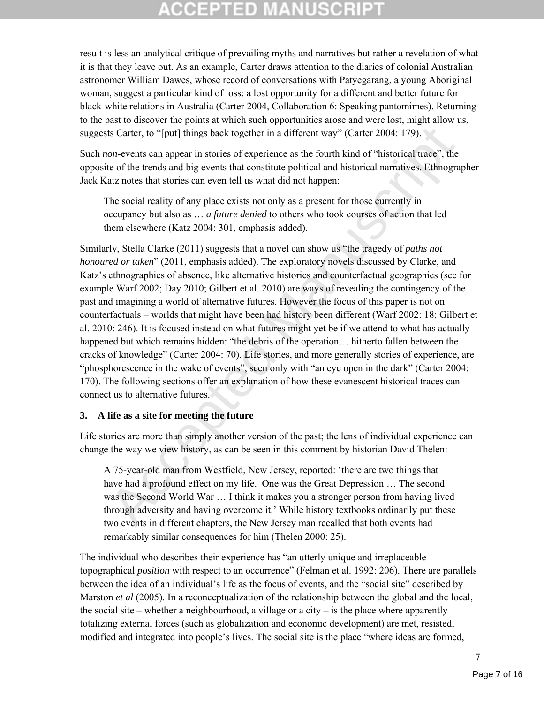result is less an analytical critique of prevailing myths and narratives but rather a revelation of what it is that they leave out. As an example, Carter draws attention to the diaries of colonial Australian astronomer William Dawes, whose record of conversations with Patyegarang, a young Aboriginal woman, suggest a particular kind of loss: a lost opportunity for a different and better future for black-white relations in Australia (Carter 2004, Collaboration 6: Speaking pantomimes). Returning to the past to discover the points at which such opportunities arose and were lost, might allow us, suggests Carter, to "[put] things back together in a different way" (Carter 2004: 179).

Such *non*-events can appear in stories of experience as the fourth kind of "historical trace", the opposite of the trends and big events that constitute political and historical narratives. Ethnographer Jack Katz notes that stories can even tell us what did not happen:

The social reality of any place exists not only as a present for those currently in occupancy but also as … *a future denied* to others who took courses of action that led them elsewhere (Katz 2004: 301, emphasis added).

ts Carter, to "[put] things back together in a different way" (Carter 2004: 179).<br> *on*-events can appear in stories of experience as the fourth kind of "historical trace", the of the trends and big events that constitute Similarly, Stella Clarke (2011) suggests that a novel can show us "the tragedy of *paths not honoured or taken*" (2011, emphasis added). The exploratory novels discussed by Clarke, and Katz's ethnographies of absence, like alternative histories and counterfactual geographies (see for example Warf 2002; Day 2010; Gilbert et al. 2010) are ways of revealing the contingency of the past and imagining a world of alternative futures. However the focus of this paper is not on counterfactuals – worlds that might have been had history been different (Warf 2002: 18; Gilbert et al. 2010: 246). It is focused instead on what futures might yet be if we attend to what has actually happened but which remains hidden: "the debris of the operation... hitherto fallen between the cracks of knowledge" (Carter 2004: 70). Life stories, and more generally stories of experience, are "phosphorescence in the wake of events", seen only with "an eye open in the dark" (Carter 2004: 170). The following sections offer an explanation of how these evanescent historical traces can connect us to alternative futures.

### **3. A life as a site for meeting the future**

Life stories are more than simply another version of the past; the lens of individual experience can change the way we view history, as can be seen in this comment by historian David Thelen:

A 75-year-old man from Westfield, New Jersey, reported: 'there are two things that have had a profound effect on my life. One was the Great Depression … The second was the Second World War … I think it makes you a stronger person from having lived through adversity and having overcome it.' While history textbooks ordinarily put these two events in different chapters, the New Jersey man recalled that both events had remarkably similar consequences for him (Thelen 2000: 25).

The individual who describes their experience has "an utterly unique and irreplaceable topographical *position* with respect to an occurrence" (Felman et al. 1992: 206). There are parallels between the idea of an individual's life as the focus of events, and the "social site" described by Marston *et al* (2005). In a reconceptualization of the relationship between the global and the local, the social site – whether a neighbourhood, a village or a city – is the place where apparently totalizing external forces (such as globalization and economic development) are met, resisted, modified and integrated into people's lives. The social site is the place "where ideas are formed,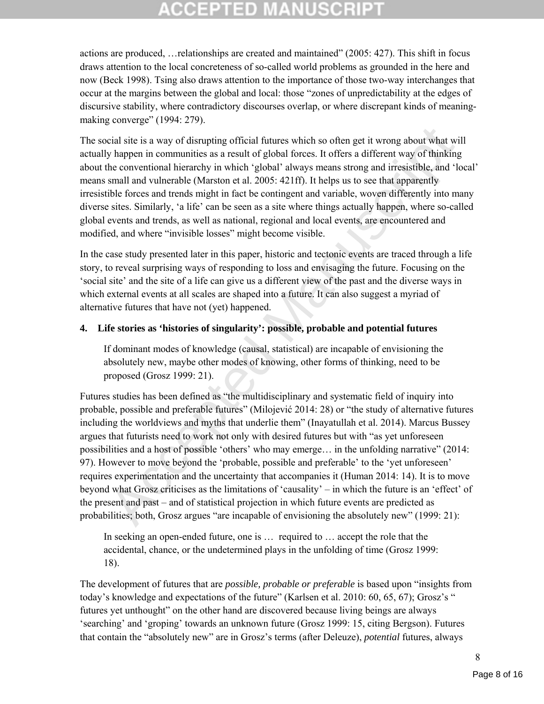actions are produced, …relationships are created and maintained" (2005: 427). This shift in focus draws attention to the local concreteness of so-called world problems as grounded in the here and now (Beck 1998). Tsing also draws attention to the importance of those two-way interchanges that occur at the margins between the global and local: those "zones of unpredictability at the edges of discursive stability, where contradictory discourses overlap, or where discrepant kinds of meaningmaking converge" (1994: 279).

The social site is a way of disrupting official futures which so often get it wrong about what will actually happen in communities as a result of global forces. It offers a different way of thinking about the conventional hierarchy in which 'global' always means strong and irresistible, and 'local' means small and vulnerable (Marston et al. 2005: 421ff). It helps us to see that apparently irresistible forces and trends might in fact be contingent and variable, woven differently into many diverse sites. Similarly, 'a life' can be seen as a site where things actually happen, where so-called global events and trends, as well as national, regional and local events, are encountered and modified, and where "invisible losses" might become visible.

In the case study presented later in this paper, historic and tectonic events are traced through a life story, to reveal surprising ways of responding to loss and envisaging the future. Focusing on the 'social site' and the site of a life can give us a different view of the past and the diverse ways in which external events at all scales are shaped into a future. It can also suggest a myriad of alternative futures that have not (yet) happened.

#### **4. Life stories as 'histories of singularity': possible, probable and potential futures**

If dominant modes of knowledge (causal, statistical) are incapable of envisioning the absolutely new, maybe other modes of knowing, other forms of thinking, need to be proposed (Grosz 1999: 21).

cial site is a way of disrupting official futures which so often get it wrong about what wi<br>happen in communities as a result of global forces. It offers a different way of thinking<br>he conventional hierarchy in which 'glob Futures studies has been defined as "the multidisciplinary and systematic field of inquiry into probable, possible and preferable futures" (Milojević 2014: 28) or "the study of alternative futures including the worldviews and myths that underlie them" (Inayatullah et al. 2014). Marcus Bussey argues that futurists need to work not only with desired futures but with "as yet unforeseen possibilities and a host of possible 'others' who may emerge… in the unfolding narrative" (2014: 97). However to move beyond the 'probable, possible and preferable' to the 'yet unforeseen' requires experimentation and the uncertainty that accompanies it (Human 2014: 14). It is to move beyond what Grosz criticises as the limitations of 'causality' – in which the future is an 'effect' of the present and past – and of statistical projection in which future events are predicted as probabilities; both, Grosz argues "are incapable of envisioning the absolutely new" (1999: 21):

In seeking an open-ended future, one is … required to … accept the role that the accidental, chance, or the undetermined plays in the unfolding of time (Grosz 1999: 18).

The development of futures that are *possible, probable or preferable* is based upon "insights from today's knowledge and expectations of the future" (Karlsen et al. 2010: 60, 65, 67); Grosz's " futures yet unthought" on the other hand are discovered because living beings are always 'searching' and 'groping' towards an unknown future (Grosz 1999: 15, citing Bergson). Futures that contain the "absolutely new" are in Grosz's terms (after Deleuze), *potential* futures, always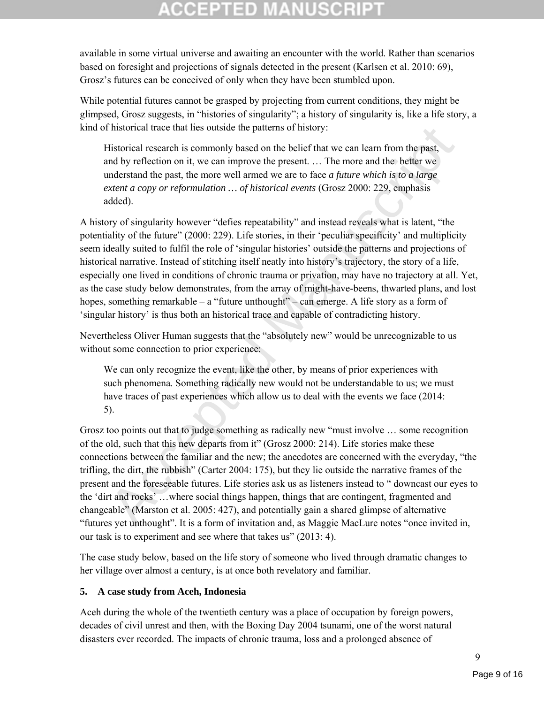available in some virtual universe and awaiting an encounter with the world. Rather than scenarios based on foresight and projections of signals detected in the present (Karlsen et al. 2010: 69), Grosz's futures can be conceived of only when they have been stumbled upon.

While potential futures cannot be grasped by projecting from current conditions, they might be glimpsed, Grosz suggests, in "histories of singularity"; a history of singularity is, like a life story, a kind of historical trace that lies outside the patterns of history:

Historical research is commonly based on the belief that we can learn from the past, and by reflection on it, we can improve the present. … The more and the better we understand the past, the more well armed we are to face *a future which is to a large extent a copy or reformulation … of historical events* (Grosz 2000: 229, emphasis added).

Instorocal trace that lies outside the patterns of history:<br>
Instorical research is commonly based on the belief that we can learn from the past,<br>
Instorial research is commonly based on the belief that we can learn from A history of singularity however "defies repeatability" and instead reveals what is latent, "the potentiality of the future" (2000: 229). Life stories, in their 'peculiar specificity' and multiplicity seem ideally suited to fulfil the role of 'singular histories' outside the patterns and projections of historical narrative. Instead of stitching itself neatly into history's trajectory, the story of a life, especially one lived in conditions of chronic trauma or privation, may have no trajectory at all. Yet, as the case study below demonstrates, from the array of might-have-beens, thwarted plans, and lost hopes, something remarkable – a "future unthought" – can emerge. A life story as a form of 'singular history' is thus both an historical trace and capable of contradicting history.

Nevertheless Oliver Human suggests that the "absolutely new" would be unrecognizable to us without some connection to prior experience:

We can only recognize the event, like the other, by means of prior experiences with such phenomena. Something radically new would not be understandable to us; we must have traces of past experiences which allow us to deal with the events we face (2014: 5).

Grosz too points out that to judge something as radically new "must involve … some recognition of the old, such that this new departs from it" (Grosz 2000: 214). Life stories make these connections between the familiar and the new; the anecdotes are concerned with the everyday, "the trifling, the dirt, the rubbish" (Carter 2004: 175), but they lie outside the narrative frames of the present and the foreseeable futures. Life stories ask us as listeners instead to " downcast our eyes to the 'dirt and rocks' …where social things happen, things that are contingent, fragmented and changeable" (Marston et al. 2005: 427), and potentially gain a shared glimpse of alternative "futures yet unthought". It is a form of invitation and, as Maggie MacLure notes "once invited in, our task is to experiment and see where that takes us" (2013: 4).

The case study below, based on the life story of someone who lived through dramatic changes to her village over almost a century, is at once both revelatory and familiar.

### **5. A case study from Aceh, Indonesia**

Aceh during the whole of the twentieth century was a place of occupation by foreign powers, decades of civil unrest and then, with the Boxing Day 2004 tsunami, one of the worst natural disasters ever recorded. The impacts of chronic trauma, loss and a prolonged absence of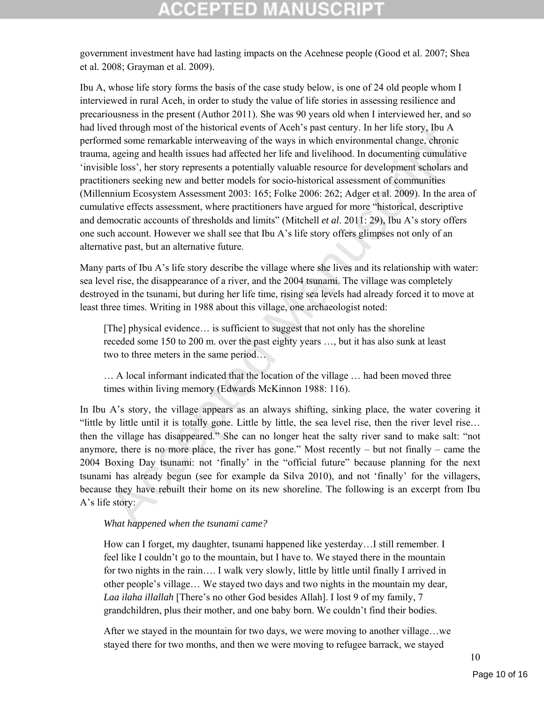government investment have had lasting impacts on the Acehnese people (Good et al. 2007; Shea et al. 2008; Grayman et al. 2009).

ed through most of the instorical events of Acefn's past ecnitury. In her lifts tory, Un A<br>celes through most of the system is operator and Acception, ageing and health issues had affected her life and livelihood. In docum Ibu A, whose life story forms the basis of the case study below, is one of 24 old people whom I interviewed in rural Aceh, in order to study the value of life stories in assessing resilience and precariousness in the present (Author 2011). She was 90 years old when I interviewed her, and so had lived through most of the historical events of Aceh's past century. In her life story, Ibu A performed some remarkable interweaving of the ways in which environmental change, chronic trauma, ageing and health issues had affected her life and livelihood. In documenting cumulative 'invisible loss', her story represents a potentially valuable resource for development scholars and practitioners seeking new and better models for socio-historical assessment of communities (Millennium Ecosystem Assessment 2003: 165; Folke 2006: 262; Adger et al. 2009). In the area of cumulative effects assessment, where practitioners have argued for more "historical, descriptive and democratic accounts of thresholds and limits" (Mitchell *et al*. 2011: 29), Ibu A's story offers one such account. However we shall see that Ibu A's life story offers glimpses not only of an alternative past, but an alternative future.

Many parts of Ibu A's life story describe the village where she lives and its relationship with water: sea level rise, the disappearance of a river, and the 2004 tsunami. The village was completely destroyed in the tsunami, but during her life time, rising sea levels had already forced it to move at least three times. Writing in 1988 about this village, one archaeologist noted:

[The] physical evidence… is sufficient to suggest that not only has the shoreline receded some 150 to 200 m. over the past eighty years …, but it has also sunk at least two to three meters in the same period…

… A local informant indicated that the location of the village … had been moved three times within living memory (Edwards McKinnon 1988: 116).

In Ibu A's story, the village appears as an always shifting, sinking place, the water covering it "little by little until it is totally gone. Little by little, the sea level rise, then the river level rise… then the village has disappeared." She can no longer heat the salty river sand to make salt: "not anymore, there is no more place, the river has gone." Most recently – but not finally – came the 2004 Boxing Day tsunami: not 'finally' in the "official future" because planning for the next tsunami has already begun (see for example da Silva 2010), and not 'finally' for the villagers, because they have rebuilt their home on its new shoreline. The following is an excerpt from Ibu A's life story:

### *What happened when the tsunami came?*

How can I forget, my daughter, tsunami happened like yesterday…I still remember. I feel like I couldn't go to the mountain, but I have to. We stayed there in the mountain for two nights in the rain…. I walk very slowly, little by little until finally I arrived in other people's village… We stayed two days and two nights in the mountain my dear, *Laa ilaha illallah* [There's no other God besides Allah]. I lost 9 of my family, 7 grandchildren, plus their mother, and one baby born. We couldn't find their bodies.

After we stayed in the mountain for two days, we were moving to another village…we stayed there for two months, and then we were moving to refugee barrack, we stayed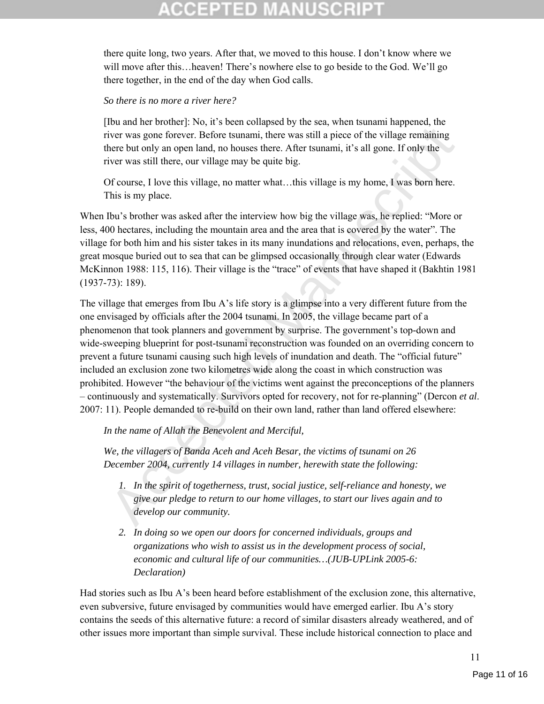there quite long, two years. After that, we moved to this house. I don't know where we will move after this…heaven! There's nowhere else to go beside to the God. We'll go there together, in the end of the day when God calls.

#### *So there is no more a river here?*

[Ibu and her brother]: No, it's been collapsed by the sea, when tsunami happened, the river was gone forever. Before tsunami, there was still a piece of the village remaining there but only an open land, no houses there. After tsunami, it's all gone. If only the river was still there, our village may be quite big.

Of course, I love this village, no matter what…this village is my home, I was born here. This is my place.

When Ibu's brother was asked after the interview how big the village was, he replied: "More or less, 400 hectares, including the mountain area and the area that is covered by the water". The village for both him and his sister takes in its many inundations and relocations, even, perhaps, the great mosque buried out to sea that can be glimpsed occasionally through clear water (Edwards McKinnon 1988: 115, 116). Their village is the "trace" of events that have shaped it (Bakhtin 1981 (1937-73): 189).

iver was gone forever. Before tsunami, there was still a piece of the village remaining<br>tiver was gone forever. Before tsunami, there was still a piece of the village remaining<br>there but only an open land, no houses there The village that emerges from Ibu A's life story is a glimpse into a very different future from the one envisaged by officials after the 2004 tsunami. In 2005, the village became part of a phenomenon that took planners and government by surprise. The government's top-down and wide-sweeping blueprint for post-tsunami reconstruction was founded on an overriding concern to prevent a future tsunami causing such high levels of inundation and death. The "official future" included an exclusion zone two kilometres wide along the coast in which construction was prohibited. However "the behaviour of the victims went against the preconceptions of the planners – continuously and systematically. Survivors opted for recovery, not for re-planning" (Dercon *et al*. 2007: 11). People demanded to re-build on their own land, rather than land offered elsewhere:

*In the name of Allah the Benevolent and Merciful,* 

*We, the villagers of Banda Aceh and Aceh Besar, the victims of tsunami on 26 December 2004, currently 14 villages in number, herewith state the following:* 

- *1. In the spirit of togetherness, trust, social justice, self-reliance and honesty, we give our pledge to return to our home villages, to start our lives again and to develop our community.*
- *2. In doing so we open our doors for concerned individuals, groups and organizations who wish to assist us in the development process of social, economic and cultural life of our communities…(JUB-UPLink 2005-6: Declaration)*

Had stories such as Ibu A's been heard before establishment of the exclusion zone, this alternative, even subversive, future envisaged by communities would have emerged earlier. Ibu A's story contains the seeds of this alternative future: a record of similar disasters already weathered, and of other issues more important than simple survival. These include historical connection to place and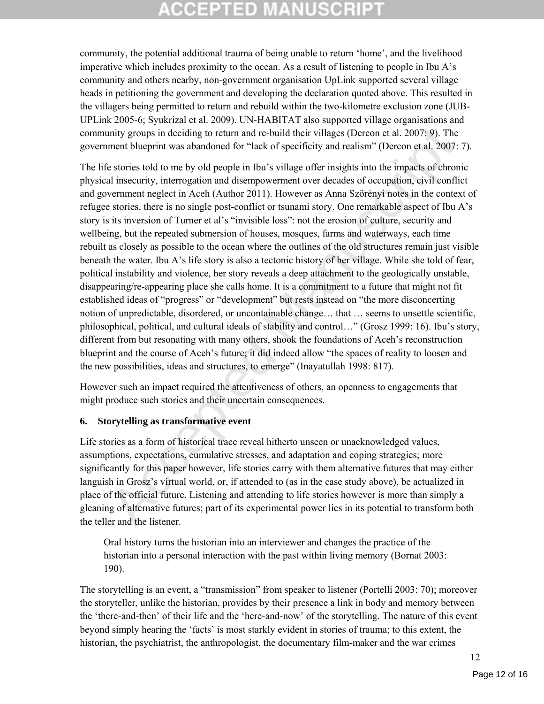community, the potential additional trauma of being unable to return 'home', and the livelihood imperative which includes proximity to the ocean. As a result of listening to people in Ibu A's community and others nearby, non-government organisation UpLink supported several village heads in petitioning the government and developing the declaration quoted above. This resulted in the villagers being permitted to return and rebuild within the two-kilometre exclusion zone (JUB-UPLink 2005-6; Syukrizal et al. 2009). UN-HABITAT also supported village organisations and community groups in deciding to return and re-build their villages (Dercon et al. 2007: 9). The government blueprint was abandoned for "lack of specificity and realism" (Dercon et al. 2007: 7).

mity groups in deciding to return and re-build their villages (Dercon et al. 2007: 9). The<br>ment blueprint was abandoned for "lack of specificity and realism" (Dercon et al. 2007:<br>el estoriol to me by ol people in lbu's vil The life stories told to me by old people in Ibu's village offer insights into the impacts of chronic physical insecurity, interrogation and disempowerment over decades of occupation, civil conflict and government neglect in Aceh (Author 2011). However as Anna Szörényi notes in the context of refugee stories, there is no single post-conflict or tsunami story. One remarkable aspect of Ibu A's story is its inversion of Turner et al's "invisible loss": not the erosion of culture, security and wellbeing, but the repeated submersion of houses, mosques, farms and waterways, each time rebuilt as closely as possible to the ocean where the outlines of the old structures remain just visible beneath the water. Ibu A's life story is also a tectonic history of her village. While she told of fear, political instability and violence, her story reveals a deep attachment to the geologically unstable, disappearing/re-appearing place she calls home. It is a commitment to a future that might not fit established ideas of "progress" or "development" but rests instead on "the more disconcerting notion of unpredictable, disordered, or uncontainable change… that … seems to unsettle scientific, philosophical, political, and cultural ideals of stability and control…" (Grosz 1999: 16). Ibu's story, different from but resonating with many others, shook the foundations of Aceh's reconstruction blueprint and the course of Aceh's future; it did indeed allow "the spaces of reality to loosen and the new possibilities, ideas and structures, to emerge" (Inayatullah 1998: 817).

However such an impact required the attentiveness of others, an openness to engagements that might produce such stories and their uncertain consequences.

#### **6. Storytelling as transformative event**

Life stories as a form of historical trace reveal hitherto unseen or unacknowledged values, assumptions, expectations, cumulative stresses, and adaptation and coping strategies; more significantly for this paper however, life stories carry with them alternative futures that may either languish in Grosz's virtual world, or, if attended to (as in the case study above), be actualized in place of the official future. Listening and attending to life stories however is more than simply a gleaning of alternative futures; part of its experimental power lies in its potential to transform both the teller and the listener.

Oral history turns the historian into an interviewer and changes the practice of the historian into a personal interaction with the past within living memory (Bornat 2003: 190).

The storytelling is an event, a "transmission" from speaker to listener (Portelli 2003: 70); moreover the storyteller, unlike the historian, provides by their presence a link in body and memory between the 'there-and-then' of their life and the 'here-and-now' of the storytelling. The nature of this event beyond simply hearing the 'facts' is most starkly evident in stories of trauma; to this extent, the historian, the psychiatrist, the anthropologist, the documentary film-maker and the war crimes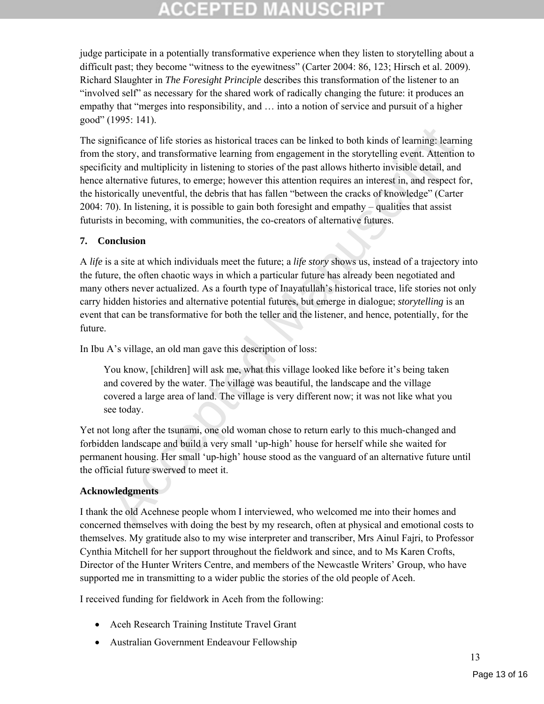judge participate in a potentially transformative experience when they listen to storytelling about a difficult past; they become "witness to the eyewitness" (Carter 2004: 86, 123; Hirsch et al. 2009). Richard Slaughter in *The Foresight Principle* describes this transformation of the listener to an "involved self" as necessary for the shared work of radically changing the future: it produces an empathy that "merges into responsibility, and … into a notion of service and pursuit of a higher good" (1995: 141).

gnificance of life stories as historical traces can be linked to both kinds of learning: learning entory, and transformative learning from engagement in the storytelling event. Attention it storyte and multiplicity in itsi The significance of life stories as historical traces can be linked to both kinds of learning: learning from the story, and transformative learning from engagement in the storytelling event. Attention to specificity and multiplicity in listening to stories of the past allows hitherto invisible detail, and hence alternative futures, to emerge; however this attention requires an interest in, and respect for, the historically uneventful, the debris that has fallen "between the cracks of knowledge" (Carter 2004: 70). In listening, it is possible to gain both foresight and empathy – qualities that assist futurists in becoming, with communities, the co-creators of alternative futures.

#### **7. Conclusion**

A *life* is a site at which individuals meet the future; a *life story* shows us, instead of a trajectory into the future, the often chaotic ways in which a particular future has already been negotiated and many others never actualized. As a fourth type of Inayatullah's historical trace, life stories not only carry hidden histories and alternative potential futures, but emerge in dialogue; *storytelling* is an event that can be transformative for both the teller and the listener, and hence, potentially, for the future.

In Ibu A's village, an old man gave this description of loss:

You know, [children] will ask me, what this village looked like before it's being taken and covered by the water. The village was beautiful, the landscape and the village covered a large area of land. The village is very different now; it was not like what you see today.

Yet not long after the tsunami, one old woman chose to return early to this much-changed and forbidden landscape and build a very small 'up-high' house for herself while she waited for permanent housing. Her small 'up-high' house stood as the vanguard of an alternative future until the official future swerved to meet it.

### **Acknowledgments**

I thank the old Acehnese people whom I interviewed, who welcomed me into their homes and concerned themselves with doing the best by my research, often at physical and emotional costs to themselves. My gratitude also to my wise interpreter and transcriber, Mrs Ainul Fajri, to Professor Cynthia Mitchell for her support throughout the fieldwork and since, and to Ms Karen Crofts, Director of the Hunter Writers Centre, and members of the Newcastle Writers' Group, who have supported me in transmitting to a wider public the stories of the old people of Aceh.

I received funding for fieldwork in Aceh from the following:

- Aceh Research Training Institute Travel Grant
- Australian Government Endeavour Fellowship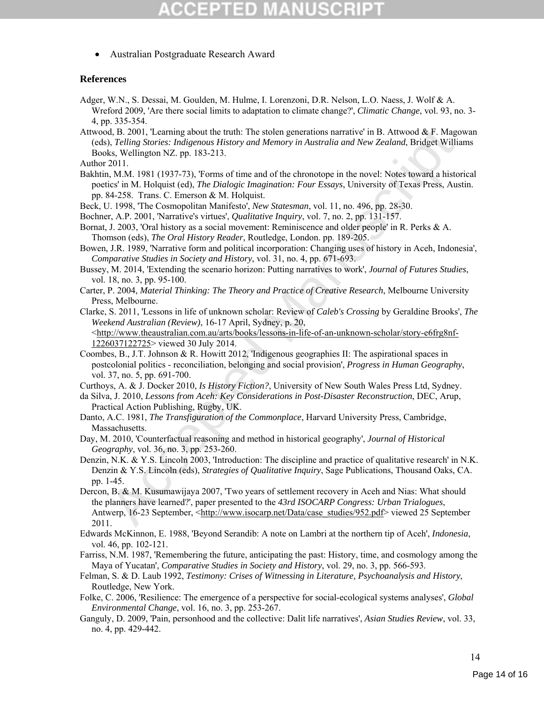• Australian Postgraduate Research Award

#### **References**

- Adger, W.N., S. Dessai, M. Goulden, M. Hulme, I. Lorenzoni, D.R. Nelson, L.O. Naess, J. Wolf & A. Wreford 2009, 'Are there social limits to adaptation to climate change?', *Climatic Change*, vol. 93, no. 3- 4, pp. 335-354.
- Attwood, B. 2001, 'Learning about the truth: The stolen generations narrative' in B. Attwood  $\&$  F. Magowan (eds), *Telling Stories: Indigenous History and Memory in Australia and New Zealand*, Bridget Williams Books, Wellington NZ. pp. 183-213.
- Author 2011.
- Bakhtin, M.M. 1981 (1937-73), 'Forms of time and of the chronotope in the novel: Notes toward a historical poetics' in M. Holquist (ed), *The Dialogic Imagination: Four Essays*, University of Texas Press, Austin. pp. 84-258. Trans. C. Emerson & M. Holquist.
- Beck, U. 1998, 'The Cosmopolitan Manifesto', *New Statesman*, vol. 11, no. 496, pp. 28-30.
- Bochner, A.P. 2001, 'Narrative's virtues', *Qualitative Inquiry*, vol. 7, no. 2, pp. 131-157.
- Bornat, J. 2003, 'Oral history as a social movement: Reminiscence and older people' in R. Perks & A. Thomson (eds), *The Oral History Reader*, Routledge, London. pp. 189-205.
- Bowen, J.R. 1989, 'Narrative form and political incorporation: Changing uses of history in Aceh, Indonesia', *Comparative Studies in Society and History*, vol. 31, no. 4, pp. 671-693.
- Bussey, M. 2014, 'Extending the scenario horizon: Putting narratives to work', *Journal of Futures Studies*, vol. 18, no. 3, pp. 95-100.
- Carter, P. 2004, *Material Thinking: The Theory and Practice of Creative Research*, Melbourne University Press, Melbourne.
- Clarke, S. 2011, 'Lessons in life of unknown scholar: Review of *Caleb's Crossing* by Geraldine Brooks', *The Weekend Australian (Review)*, 16-17 April, Sydney, p. 20, <http://www.theaustralian.com.au/arts/books/lessons-in-life-of-an-unknown-scholar/story-e6frg8nf-

1226037122725> viewed 30 July 2014.

Coombes, B., J.T. Johnson & R. Howitt 2012, 'Indigenous geographies II: The aspirational spaces in postcolonial politics - reconciliation, belonging and social provision', *Progress in Human Geography*, vol. 37, no. 5, pp. 691-700.

Curthoys, A. & J. Docker 2010, *Is History Fiction?*, University of New South Wales Press Ltd, Sydney.

- da Silva, J. 2010, *Lessons from Aceh: Key Considerations in Post-Disaster Reconstruction*, DEC, Arup, Practical Action Publishing, Rugby, UK.
- Danto, A.C. 1981, *The Transfiguration of the Commonplace*, Harvard University Press, Cambridge, Massachusetts.
- Day, M. 2010, 'Counterfactual reasoning and method in historical geography', *Journal of Historical Geography*, vol. 36, no. 3, pp. 253-260.
- Denzin, N.K. & Y.S. Lincoln 2003, 'Introduction: The discipline and practice of qualitative research' in N.K. Denzin & Y.S. Lincoln (eds), *Strategies of Qualitative Inquiry*, Sage Publications, Thousand Oaks, CA. pp. 1-45.
- d, B. 2001, Teaming about the truth: The stolen generations narrative in B. Attwood & F. Mage<br>
A. B. 2001, Teaming about the truth: The stolen generations rarative in B. Attwood & F. Mage<br>
Ks. Wellington NZ. pp. 183-213.<br> Dercon, B. & M. Kusumawijaya 2007, 'Two years of settlement recovery in Aceh and Nias: What should the planners have learned?', paper presented to the *43rd ISOCARP Congress: Urban Trialogues*, Antwerp, 16-23 September, <http://www.isocarp.net/Data/case\_studies/952.pdf> viewed 25 September 2011.
- Edwards McKinnon, E. 1988, 'Beyond Serandib: A note on Lambri at the northern tip of Aceh', *Indonesia*, vol. 46, pp. 102-121.
- Farriss, N.M. 1987, 'Remembering the future, anticipating the past: History, time, and cosmology among the Maya of Yucatan', *Comparative Studies in Society and History*, vol. 29, no. 3, pp. 566-593.
- Felman, S. & D. Laub 1992, *Testimony: Crises of Witnessing in Literature, Psychoanalysis and History*, Routledge, New York.
- Folke, C. 2006, 'Resilience: The emergence of a perspective for social-ecological systems analyses', *Global Environmental Change*, vol. 16, no. 3, pp. 253-267.
- Ganguly, D. 2009, 'Pain, personhood and the collective: Dalit life narratives', *Asian Studies Review*, vol. 33, no. 4, pp. 429-442.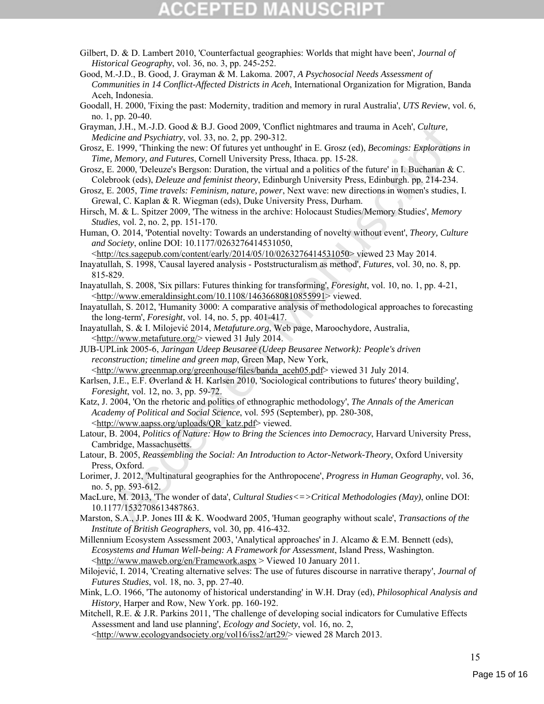### CEPTED

- Gilbert, D. & D. Lambert 2010, 'Counterfactual geographies: Worlds that might have been', *Journal of Historical Geography*, vol. 36, no. 3, pp. 245-252.
- Good, M.-J.D., B. Good, J. Grayman & M. Lakoma. 2007, *A Psychosocial Needs Assessment of Communities in 14 Conflict-Affected Districts in Aceh*, International Organization for Migration, Banda Aceh, Indonesia.
- Goodall, H. 2000, 'Fixing the past: Modernity, tradition and memory in rural Australia', *UTS Review*, vol. 6, no. 1, pp. 20-40.
- Grayman, J.H., M.-J.D. Good & B.J. Good 2009, 'Conflict nightmares and trauma in Aceh', *Culture, Medicine and Psychiatry*, vol. 33, no. 2, pp. 290-312.
- Grosz, E. 1999, 'Thinking the new: Of futures yet unthought' in E. Grosz (ed), *Becomings: Explorations in Time, Memory, and Futures*, Cornell University Press, Ithaca. pp. 15-28.
- Grosz, E. 2000, 'Deleuze's Bergson: Duration, the virtual and a politics of the future' in I. Buchanan & C. Colebrook (eds), *Deleuze and feminist theory*, Edinburgh University Press, Edinburgh. pp. 214-234.
- Grosz, E. 2005, *Time travels: Feminism, nature, power*, Next wave: new directions in women's studies, I. Grewal, C. Kaplan & R. Wiegman (eds), Duke University Press, Durham.
- Hirsch, M. & L. Spitzer 2009, 'The witness in the archive: Holocaust Studies/Memory Studies', *Memory Studies*, vol. 2, no. 2, pp. 151-170.
- Human, O. 2014, 'Potential novelty: Towards an understanding of novelty without event', *Theory, Culture and Society*, online DOI: 10.1177/0263276414531050,

 $\langle$ http://tcs.sagepub.com/content/early/2014/05/10/0263276414531050 $\triangleright$  viewed 23 May 2014.

- Inayatullah, S. 1998, 'Causal layered analysis Poststructuralism as method', *Futures*, vol. 30, no. 8, pp. 815-829.
- Inayatullah, S. 2008, 'Six pillars: Futures thinking for transforming', *Foresight*, vol. 10, no. 1, pp. 4-21, <http://www.emeraldinsight.com/10.1108/14636680810855991> viewed.

Inayatullah, S. 2012, 'Humanity 3000: A comparative analysis of methodological approaches to forecasting the long-term', *Foresight*, vol. 14, no. 5, pp. 401-417.

- Inayatullah, S. & I. Milojević 2014, *Metafuture.org*, Web page, Maroochydore, Australia, <http://www.metafuture.org/> viewed 31 July 2014.
- JUB-UPLink 2005-6, *Jaringan Udeep Beusaree (Udeep Beusaree Network): People's driven reconstruction; timeline and green map*, Green Map, New York,  $\langle \text{http://www.greenmap.org/greenhouse/files/banda-aceh05.pdf} \rangle$  viewed 31 July 2014.
- Karlsen, J.E., E.F. Øverland & H. Karlsen 2010, 'Sociological contributions to futures' theory building', *Foresight*, vol. 12, no. 3, pp. 59-72.
- In J.H., M.-1J. Good & B.J. Good Z009, Conflict inglimates and trauma in Acch', Culture,<br>
In: J.H., M.-1J. Good & B.J. Good Z009, Conflict inglimates and trauma in Acch', Culture,<br>
Element Psychiatry, vol. 33, no. 2, pp. Katz, J. 2004, 'On the rhetoric and politics of ethnographic methodology', *The Annals of the American Academy of Political and Social Science*, vol. 595 (September), pp. 280-308, <http://www.aapss.org/uploads/QR\_katz.pdf> viewed.
- Latour, B. 2004, *Politics of Nature: How to Bring the Sciences into Democracy*, Harvard University Press, Cambridge, Massachusetts.
- Latour, B. 2005, *Reassembling the Social: An Introduction to Actor-Network-Theory*, Oxford University Press, Oxford.
- Lorimer, J. 2012, 'Multinatural geographies for the Anthropocene', *Progress in Human Geography*, vol. 36, no. 5, pp. 593-612.
- MacLure, M. 2013, 'The wonder of data', *Cultural Studies<=>Critical Methodologies (May)*, online DOI: 10.1177/1532708613487863.
- Marston, S.A., J.P. Jones III & K. Woodward 2005, 'Human geography without scale', *Transactions of the Institute of British Geographers*, vol. 30, pp. 416-432.
- Millennium Ecosystem Assessment 2003, 'Analytical approaches' in J. Alcamo & E.M. Bennett (eds), *Ecosystems and Human Well-being: A Framework for Assessment*, Island Press, Washington. <http://www.maweb.org/en/Framework.aspx > Viewed 10 January 2011.
- Milojević, I. 2014, 'Creating alternative selves: The use of futures discourse in narrative therapy', *Journal of Futures Studies*, vol. 18, no. 3, pp. 27-40.
- Mink, L.O. 1966, 'The autonomy of historical understanding' in W.H. Dray (ed), *Philosophical Analysis and History*, Harper and Row, New York. pp. 160-192.
- Mitchell, R.E. & J.R. Parkins 2011, 'The challenge of developing social indicators for Cumulative Effects Assessment and land use planning', *Ecology and Society*, vol. 16, no. 2,

<http://www.ecologyandsociety.org/vol16/iss2/art29/> viewed 28 March 2013.